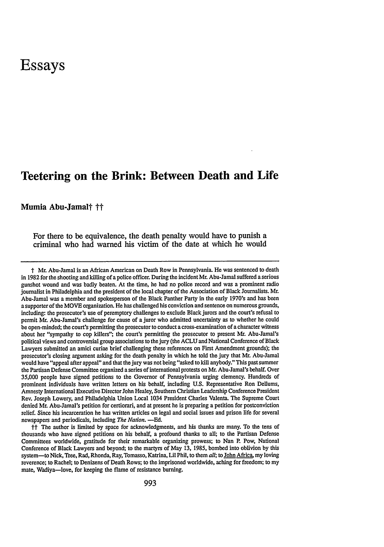# Essays

# **Teetering on the Brink: Between Death and Life**

#### Mumia Abu-Jamalt **t**

For there to be equivalence, the death penalty would have to punish a criminal who had warned his victim of the date at which he would

t Mr. Abu-Jamal is an African American on Death Row in Pennsylvania. He was sentenced to death in 1982 for the shooting and killing of a police officer. During the incident Mr. Abu-Jamal suffered a serious gunshot wound and was badly beaten. At the time, he had no police record and was a prominent radio journalist in Philadelphia and the president of the local chapter of the Association of Black Journalists. Mr. Abu-Jamal was a member and spokesperson of the Black Panther Party in the early 1970's and has been a supporter of the MOVE organization. He has challenged his conviction and sentence on numerous grounds, including: the prosecutor's use of peremptory challenges to exclude Black jurors and the court's refusal to permit Mr. Abu-Jamal's challenge for cause of a juror who admitted uncertainty as to whether he could be open-minded; the court's permitting the prosecutor to conduct a cross-examination of a character witness about her "sympathy to cop killers"; the court's permitting the prosecutor to present Mr. Abu-Jamal's political views and controversial group associations to the jury (the ACLU and National Conference of Black Lawyers submitted an amici curiae brief challenging these references on First Amendment grounds); the prosecutor's closing argument asking for the death penalty in which he told the jury that Mr. Abu-Jamal would have "appeal after appeal" and that the jury was not being "asked to kill anybody." This past summer the Partisan Defense Committee organized a series of international protests on Mr. Abu-Jamal's behalf. Over 35,000 people have signed petitions to the Governor of Pennsylvania urging clemency. Hundreds of prominent individuals have written letters on his behalf, including U.S. Representative Ron Dellums, Amnesty International Executive Director John Healey, Southern Christian Leadership Conference President Rev. Joseph Lowery, and Philadelphia Union Local 1034 President Charles Valenta. The Supreme Court denied Mr. Abu-Jamal's petition for certiorari, and at present he is preparing a petition for postconviction relief. Since his incarceration he has written articles on legal and social issues and prison life for several newspapers and periodicals, including *The Nation. -Ed.*

<sup>†</sup>† The author is limited by space for acknowledgments, and his thanks are many. To the tens of thousands who have signed petitions on his behalf, a profound thanks to all; to the Partisan Defense Committees worldwide, gratitude for their remarkable organizing prowess; to Nan P. Pow, National Conference of Black Lawyers and beyond; to the martyrs of May 13, 1985, bombed into oblivion by this system-to Nick, Tree, Rad, Rhonda, Ray, Tomasso, Katrina, Lil Phil, to them *all*; to John Africa, my loving reverence; to Rachel; to Denizens of Death Rows; to the imprisoned worldwide, aching for freedom; to my mate, Wadiya-love, for keeping the flame of resistance burning.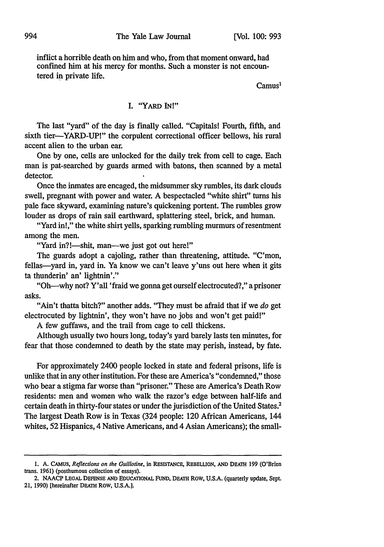inflict a horrible death on him and who, from that moment onward, had confined him at his mercy for months. Such a monster is not encountered in private life.

Camus<sup>1</sup>

### I. "YARD IN!"

The last "yard" of the day is finally called. "Capitals! Fourth, fifth, and sixth tier-YARD-UP!" the corpulent correctional officer bellows, his rural accent alien to the urban ear.

One by one, cells are unlocked for the daily trek from cell to cage. Each man is pat-searched by guards armed with batons, then scanned by a metal detector.

Once the inmates are encaged, the midsummer sky rumbles, its dark clouds swell, pregnant with power and water. A bespectacled "white shirt" turns his pale face skyward, examining nature's quickening portent. The rumbles grow louder as drops of rain sail earthward, splattering steel, brick, and human.

"Yard in!," the white shirt yells, sparking rumbling murmurs of resentment among the men.

"Yard in?!—shit, man—we just got out here!"

The guards adopt a cajoling, rather than threatening, attitude. "C'mon, fellas—yard in, yard in. Ya know we can't leave y'uns out here when it gits ta thunderin' an' lightnin'."

"Oh-why not? Y'all 'fraid we gonna get ourself electrocuted?," a prisoner asks.

"Ain't thatta bitch?" another adds. 'They must be afraid that if we *do* get electrocuted by lightnin', they won't have no jobs and won't get paid!"

A few guffaws, and the trail from cage to cell thickens.

Although usually two hours long, today's yard barely lasts ten minutes, for fear that those condemned to death by the state may perish, instead, by fate.

For approximately 2400 people locked in state and federal prisons, life is unlike that in any other institution. For these are America's "condemned," those who bear a stigma far worse than "prisoner." These are America's Death Row residents: men and women who walk the razor's edge between half-life and certain death in thirty-four states or under the jurisdiction of the United States.2 The largest Death Row is in Texas (324 people: 120 African Americans, 144 whites, 52 Hispanics, 4 Native Americans, and 4 Asian Americans); the small-

2. **NAACP LEGAL DEFENSE AND** EDUCATIONAL FUND, **DEATH** ROW, **U.S.A.** (quarterly update, Sept. 21, **1990)** [hereinafter DEATH Row, **U.S.A.).**

**<sup>1.</sup> A.** CAMUS, *Reflections on the* Guillotine, in REsIsTANcE, REBELLION, **AND DEATH 199** (O'Brien trans. 1961) (posthumous collection of essays).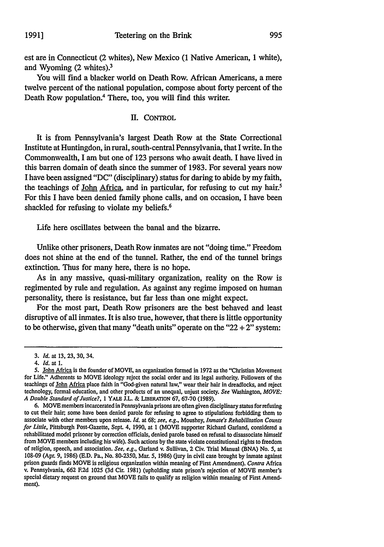est are in Connecticut (2 whites), New Mexico (1 Native American, **1** white), and Wyoming (2 whites).<sup>3</sup>

You will find a blacker world on Death Row. African Americans, a mere twelve percent of the national population, compose about forty percent of the Death Row population.4 There, too, you will find this writer.

#### II. CONTROL

It is from Pennsylvania's largest Death Row at the State Correctional Institute at Huntingdon, in rural, south-central Pennsylvania, that I write. In the Commonwealth, I am but one of 123 persons who await death. I have lived in this barren domain of death since the summer of 1983. For several years now I have been assigned "DC" (disciplinary) status for daring to abide by my faith, the teachings of John Africa, and in particular, for refusing to cut my hair.<sup>5</sup> For this I have been denied family phone calls, and on occasion, I have been shackled for refusing to violate my beliefs.<sup>6</sup>

Life here oscillates between the banal and the bizarre.

Unlike other prisoners, Death Row inmates are not "doing time." Freedom does not shine at the end of the tunnel. Rather, the end of the tunnel brings extinction. Thus for many here, there is no hope.

As in any massive, quasi-military organization, reality on the Row is regimented by rule and regulation. As against any regime imposed on human personality, there is resistance, but far less than one might expect.

For the most part, Death Row prisoners are the best behaved and least disruptive of all inmates. It is also true, however, that there is little opportunity to be otherwise, given that many "death units" operate on the " $22 + 2$ " system:

**<sup>3.</sup>** *Id.* at 13, 23, 30, 34.

<sup>4.</sup> *Id.* at **1.**

<sup>5.</sup> John Africa is the founder of MOVE, an organization formed in 1972 as the "Christian Movement for Life." Adherents to MOVE ideology reject the social order and its legal authority. Followers of the teachings of John Africa place faith in "God-given natural law," wear their hair in dreadlocks, and reject technology, formal education, and other products of an unequal, unjust society. *See* Washington, *MOVE: A Double Standard of Justice?,* 1 YALE J.L. & LIBERATION 67, 67-70 (1989).

**<sup>6.</sup>** MOVE members incarcerated in Pennsylvania prisons are often given disciplinary status for refusing to cut their hair, some have been denied parole for refusing to agree to stipulations forbidding them to associate with other members upon release. **Id.** at 68; *see, e.g.,* Moushey, *Inmate's Rehabilitation Counts for Little,* Pittsburgh Post-Gazette, Sept. 4, 1990, at 1 (MOVE supporter Richard Garland, considered a rehabilitated model prisoner by correction officials, denied parole based on refusal to disassociate himself from MOVE members including his wife). Such actions **by** the state violate constitutional rights to freedom of religion, speech, and association. *See, e.g.,* Garland v. Sullivan, 2 Civ. Trial Manual (BNA) No. 5, at 108-09 (Apr. 9, **1986)** (E.D. Pa., No. 80-2350, Mar. 5, 1986) (jury in civil case brought **by** inmate against prison guards finds MOVE is religious organization within meaning of First Amendment). *Contra* Africa v. Pennsylvania, **662** F.2d 1025 (3d Cir. 1981) (upholding state prison's rejection of MOVE member's special dietary request on ground that MOVE fails to qualify as religion within meaning of First Amendment).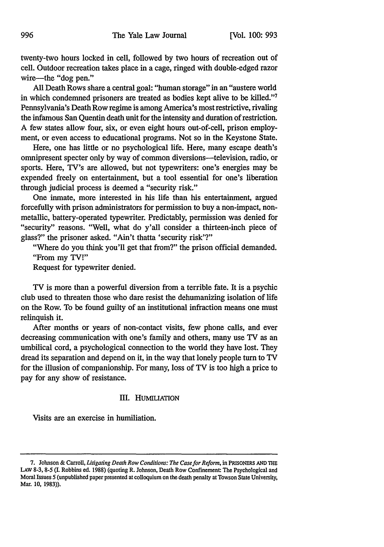twenty-two hours locked in cell, followed by two hours of recreation out of cell. Outdoor recreation takes place in a cage, ringed with double-edged razor wire-the "dog pen."

All Death Rows share a central goal: "human storage" in an "austere world in which condemned prisoners are treated as bodies kept alive to be killed."<sup>7</sup> Pennsylvania's Death Row regime is among America's most restrictive, rivaling the infamous San Quentin death unit for the intensity and duration of restriction. A few states allow four, six, or even eight hours out-of-cell, prison employment, or even access to educational programs. Not so in the Keystone State.

Here, one has little or no psychological life. Here, many escape death's omnipresent specter only by way of common diversions—television, radio, or sports. Here, TV's are allowed, but not typewriters: one's energies may be expended freely on entertainment, but a tool essential for one's liberation through judicial process is deemed a "security risk."

One inmate, more interested in his life than his entertainment, argued forcefully with prison administrators for permission to buy a non-impact, nonmetallic, battery-operated typewriter. Predictably, permission was denied for "security" reasons. "Well, what do y'all consider a thirteen-inch piece of glass?" the prisoner asked. "Ain't thatta 'security risk'?"

"Where do you think you'll get that from?" the prison official demanded. "From my TV!"

Request for typewriter denied.

TV is more than a powerful diversion from a terrible fate. It is a psychic club used to threaten those who dare resist the dehumanizing isolation of life on the Row. To be found guilty of an institutional infraction means one must relinquish it.

After months or years of non-contact visits, few phone calls, and ever decreasing communication with one's family and others, many use TV as an umbilical cord, a psychological connection to the world they have lost. They dread its separation and depend on it, in the way that lonely people turn to TV for the illusion of companionship. For many, loss of TV is too high a price to pay for any show of resistance.

#### III. HUMILIATION

Visits are an exercise in humiliation.

**<sup>7.</sup>** Johnson& Carroll, *Litigating Death Row Conditions: The CaseforReform,* in PRISONERS *AND* THE LAW **8-3, 8-5 (1.** Robbins ed. 1988) (quoting R. Johnson, Death Row Confinement: The Psychological and Moral Issues 5 (unpublished paper presented at colloquium on the death penalty at Towson State University, Mar. 10, 1983)).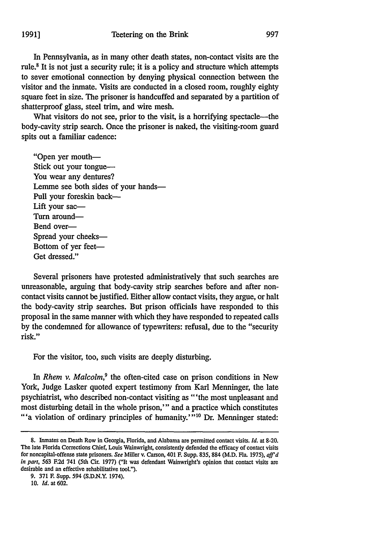In Pennsylvania, as in many other death states, non-contact visits are the rule.8 It is not just a security rule; it is a policy and structure which attempts to sever emotional connection by denying physical connection between the visitor and the inmate. Visits are conducted in a closed room, roughly eighty square feet in size. The prisoner is handcuffed and separated by a partition of shatterproof glass, steel trim, and wire mesh.

What visitors do not see, prior to the visit, is a horrifying spectacle—the body-cavity strip search. Once the prisoner is naked, the visiting-room guard spits out a familiar cadence:

"Open yer mouth-Stick out your tongue-You wear any dentures? Lemme see both sides of your hands-Pull your foreskin back-Lift your sac-Turn around-Bend over-Spread your cheeks-Bottom of yer feet-Get dressed."

Several prisoners have protested administratively that such searches are unreasonable, arguing that body-cavity strip searches before and after noncontact visits cannot be justified. Either allow contact visits, they argue, or halt the body-cavity strip searches. But prison officials have responded to this proposal in the same manner with which they have responded to repeated calls by the condemned for allowance of typewriters: refusal, due to the "security risk."

For the visitor, too, such visits are deeply disturbing.

In *Rhem v. Malcolm*,<sup>9</sup> the often-cited case on prison conditions in New York, Judge Lasker quoted expert testimony from Karl Menninger, the late psychiatrist, who described non-contact visiting as "'the most unpleasant and most disturbing detail in the whole prison,"' and a practice which constitutes "'a violation of ordinary principles of humanity.'"<sup>10</sup> Dr. Menninger stated:

**<sup>8.</sup>** Inmates on Death Row in Georgia, Florida, and Alabama are permitted contact visits. *Id.* at 8-20. The late Florida Corrections Chief, Louis Wainwright, consistently defended the efficacy of contact visits for noncapital-offense state prisoners. *See* Miller v. Carson, 401 F. Supp. 835, 884 (M.D. Fla. 1975), *aff'd in part,* 563 **F.2d** 741 (5th Cir. 1977) ("It was defendant Wainwright's opinion that contact visits are desirable and an effective rehabilitative tool.").

<sup>9. 371</sup> F. Supp. 594 (S.D.N.Y. 1974).

*<sup>10.</sup> Id.* at 602.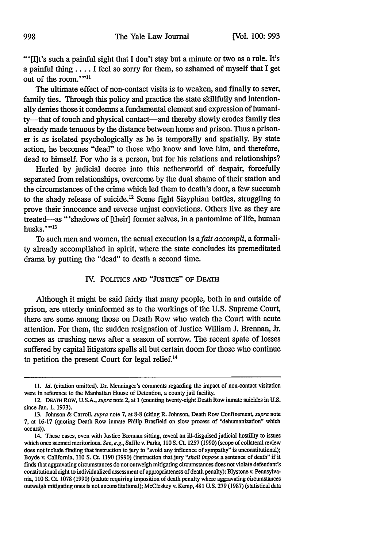"'[I]t's such a painful sight that I don't stay but a minute or two as a rule. It's a painful thing .... I feel so sorry for them, so ashamed of myself that I get out of the room.'"<sup>11</sup>

The ultimate effect of non-contact visits is to weaken, and finally to sever, family ties. Through this policy and practice the state skillfully and intentionally denies those it condemns a fundamental element and expression of humanity-that of touch and physical contact-and thereby slowly erodes family ties already made tenuous by the distance between home and prison. Thus a prisoner is as isolated psychologically as he is temporally and spatially. By state action, he becomes "dead" to those who know and love him, and therefore, dead to himself. For who is a person, but for his relations and relationships?

Hurled by judicial decree into this netherworld of despair, forcefully separated from relationships, overcome by the dual shame of their station and the circumstances of the crime which led them to death's door, a few succumb to the shady release of suicide.12 Some fight Sisyphian battles, struggling to prove their innocence and reverse unjust convictions. Others live as they are treated-as "'shadows of [their] former selves, in a pantomime of life, human husks.' **"13**

To such men and women, the actual execution is *afait accompli,* a formality already accomplished in spirit, where the state concludes its premeditated drama by putting the "dead" to death a second time.

## IV. POLITICS AND "JUSTICE" OF DEATH

Although it might be said fairly that many people, both in and outside of prison, are utterly uninformed as to the workings of the U.S. Supreme Court, there are some among those on Death Row who watch the Court with acute attention. For them, the sudden resignation of Justice William J. Brennan, Jr. comes as crushing news after a season of sorrow. The recent spate of losses suffered by capital litigators spells all but certain doom for those who continue to petition the present Court for legal relief.<sup>14</sup>

<sup>11.</sup> Id. (citation omitted). Dr. Menninger's comments regarding the impact of non-contact visitation were in reference to the Manhattan House of Detention, a county jail facility.

<sup>12.</sup> **DEATH** Row, U.S.A., *supra* note 2, at 1 (counting twenty-eight Death Row inmate suicides in **U.S.** since Jan. 1, 1973).

<sup>13.</sup> Johnson & Carroll, *supra* note 7, at 8-8 (citing R. Johnson, Death Row Confinement, *supra* note 7, at 16-17 (quoting Death Row inmate Philip Brasfield on slow process of "dehumanization" which occurs)).

<sup>14.</sup> These cases, even with Justice Brennan sitting, reveal an ill-disguised judicial hostility to issues which once seemed meritorious. *See, e.g.,* Saffle v. Parks, 110 **S.** Ct. 1257 (1990) (scope of collateral review does not include finding that instruction to jury to "avoid any influence of sympathy" is unconstitutional); Boyde v. California, 110 *S.* Ct. 1190 (1990) (instruction that jury *"shall impose* a sentence of death" if it finds that aggravating circumstances do not outweigh mitigating circumstances does not violate defendant's constitutional right to individualized assessment of appropriateness of death penalty); Blystone v. Pennsylvania, 110 **S. Ct.** 1078 (1990) (statute requiring imposition of death penalty where aggravating circumstances outweigh mitigating ones is not unconstitutional); McCleskey v. Kemp, 481 U.S. 279 (1987) (statistical data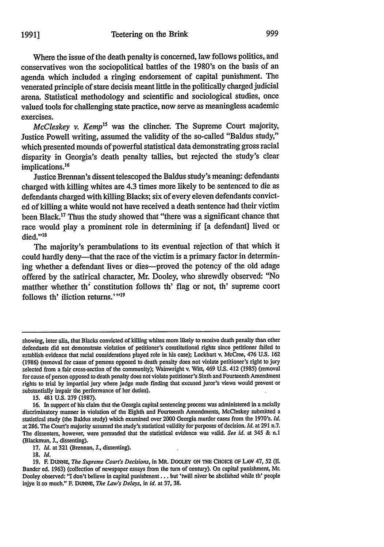#### Teetering on the Brink

Where the issue of the death penalty is concerned, law follows politics, and conservatives won the sociopolitical battles of the 1980's on the basis of an agenda which included a ringing endorsement of capital punishment. The venerated principle of stare decisis meant little in the politically charged judicial arena. Statistical methodology and scientific and sociological studies, once valued tools for challenging state practice, now serve as meaningless academic exercises.

*McCleskey v. Kemp15* was the clincher. The Supreme Court majority, Justice Powell writing, assumed the validity of the so-called "Baldus study," which presented mounds of powerful statistical data demonstrating gross racial disparity in Georgia's death penalty tallies, but rejected the study's clear implications.<sup>16</sup>

Justice Brennan's dissent telescoped the Baldus study's meaning: defendants charged with killing whites are 4.3 times more likely to be sentenced to die as defendants charged with killing Blacks; six of every eleven defendants convicted of killing a white would not have received a death sentence had their victim been Black.<sup>17</sup> Thus the study showed that "there was a significant chance that race would play a prominent role in determining if [a defendant] lived or died."<sup>18</sup>

The majority's perambulations to its eventual rejection of that which it could hardly deny—that the race of the victim is a primary factor in determining whether a defendant lives or dies—proved the potency of the old adage offered by the satirical character, Mr. Dooley, who shrewdly observed: "No matther whether th<sup>3</sup> constitution follows th<sup>3</sup> flag or not, th<sup>3</sup> supreme coort follows th' iliction returns." $19$ 

15. 481 **U.S. 279** (1987).

showing, inter alia, that Blacks convicted of killing whites more likely to receive death penalty than other defendants did not demonstrate violation of petitioner's constitutional rights since petitioner failed to establish evidence that racial considerations played role in his case); Lockhart v. McCree, 476 **U.S. 162** (1986) (removal for cause of persons opposed to death penalty does not violate petitioner's right to jury selected from a fair cross-section of the community); Wainwright v. Witt, 469 U.S. 412 (1985) (removal for cause of person opposed to death penalty does not violate petitioner's Sixth and Fourteenth Amendment rights to trial by impartial jury where judge made finding that excused juror's views would prevent or substantially impair the performance of her duties).

<sup>16.</sup> In support of his claim that the Georgia capital sentencing process was administered in a racially discriminatory manner in violation of the Eighth and Fourteenth Amendments, McCleskey submitted a statistical study (the Baldus study) which examined over 2000 Georgia murder cases from the 1970's. *Id.* at 286. The Court's majority assumed the study's statistical validity for purposes of decision. *Id.* at 291 n.7. The dissenters, however, were persuaded that the statistical evidence was valid. *See id.* at 345 & n.1 (Blackmun, **J.,** dissenting).

<sup>17.</sup> *Id.* at **321** (Brennan, *L,* dissenting).

**<sup>18.</sup>** *Id.*

**<sup>19.</sup> F.** *DUNNE The Supreme Court's Decisions,* in MR. DOOLEY ON **THE** CHOICE OF LAW 47, **52 (E.** Bander ed. **1963)** (collection of newspaper essays from the turn of century). On capital punishment, Mr. Dooley observed: "I don't believe in capital punishment... but 'twill niver be abolished while th' people injye it so much." **F.** *DUNNE, The Law's Delays,* in *id.* at **37, 38.**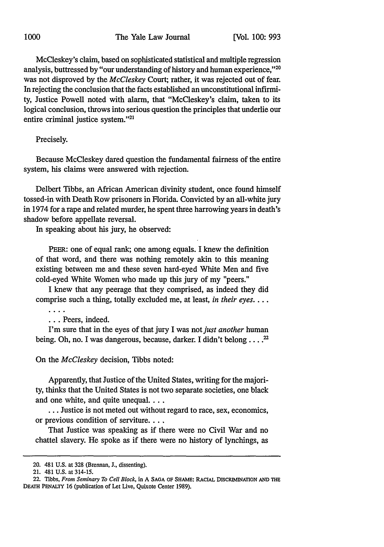McCleskey's claim, based on sophisticated statistical and multiple regression analysis, buttressed by "our understanding of history and human experience,"<sup>20</sup> was not disproved by the *McCleskey* Court; rather, it was rejected out of fear. In rejecting the conclusion that the facts established an unconstitutional infirmity, Justice Powell noted with alarm, that "McCleskey's claim, taken to its logical conclusion, throws into serious question the principles that underlie our entire criminal justice system."<sup>21</sup>

Precisely.

Because McCleskey dared question the fundamental fairness of the entire system, his claims were answered with rejection.

Delbert Tibbs, an African American divinity student, once found himself tossed-in with Death Row prisoners in Florida. Convicted by an all-white jury in 1974 for a rape and related murder, he spent three harrowing years in death's shadow before appellate reversal.

In speaking about his jury, he observed:

PEER: one of equal rank; one among equals. I knew the definition of that word, and there was nothing remotely akin to this meaning existing between me and these seven hard-eyed White Men and five cold-eyed White Women who made up this jury of my "peers."

I knew that any peerage that they comprised, as indeed they did comprise such a thing, totally excluded me, at least, *in their eyes....*

 $\cdots$ 

**...** Peers, indeed.

I'm sure that in the eyes of that jury I was not *just another* human being. Oh, no. I was dangerous, because, darker. I didn't belong . . . . <sup>22</sup>

On the *McCleskey* decision, Tibbs noted:

Apparently, that Justice of the United States, writing for the majority, thinks that the United States is not two separate societies, one black and one white, and quite unequal....

**...** Justice is not meted out without regard to race, sex, economics, or previous condition of serviture....

That Justice was speaking as if there were no Civil War and no chattel slavery. He spoke as if there were no history of lynchings, as

<sup>20. 481</sup> **U.S.** at 328 (Brennan, *L,* dissenting).

<sup>21. 481</sup> U.S. at 314-15.

<sup>22.</sup> Tibbs, *From Seminary To Cell Block,* in A **SAGA** OF **SHAME: RACIAL** DISCRIMINATION **AND THE DEATH PENALTY** 16 (publication of Let Live, Quixote Center 1989).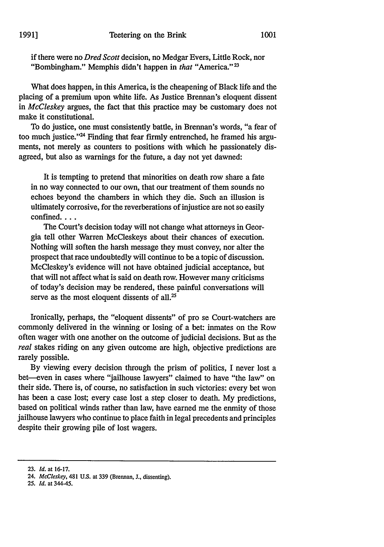if there were no *Dred Scott* decision, no Medgar Evers, Little Rock, nor "Bombingham." Memphis didn't happen in *that* "America." '

What does happen, in this America, is the cheapening of Black life and the placing of a premium upon white life. As Justice Brennan's eloquent dissent in *McCleskey* argues, the fact that this practice may be customary does not make it constitutional.

To do justice, one must consistently battle, in Brennan's words, "a fear of too much justice."<sup>24</sup> Finding that fear firmly entrenched, he framed his arguments, not merely as counters to positions with which he passionately disagreed, but also as warnings for the future, a day not yet dawned:

It is tempting to pretend that minorities on death row share a fate in no way connected to our own, that our treatment of them sounds no echoes beyond the chambers in which they die. Such an illusion is ultimately corrosive, for the reverberations of injustice are not so easily confined....

The Court's decision today will not change what attorneys in Georgia tell other Warren McCleskeys about their chances of execution. Nothing will soften the harsh message they must convey, nor alter the prospect that race undoubtedly will continue to be a topic of discussion. McCleskey's evidence will not have obtained judicial acceptance, but that will not affect what is said on death row. However many criticisms of today's decision may be rendered, these painful conversations will serve as the most eloquent dissents of all.<sup>25</sup>

Ironically, perhaps, the "eloquent dissents" of pro se Court-watchers are commonly delivered in the winning or losing of a bet: inmates on the Row often wager with one another on the outcome of judicial decisions. But as the *real* stakes riding on any given outcome are high, objective predictions are rarely possible.

By viewing every decision through the prism of politics, I never lost a bet—even in cases where "jailhouse lawyers" claimed to have "the law" on their side. There is, of course, no satisfaction in such victories: every bet won has been a case lost; every case lost a step closer to death. My predictions, based on political winds rather than law, have earned me the enmity of those jailhouse lawyers who continue to place faith in legal precedents and principles despite their growing pile of lost wagers.

*25. Id.* at 344-45.

<sup>23.</sup> *Id.* at 16-17.

<sup>24.</sup> *McCleskey,* 481 **U.S.** at 339 (Brennan, J., dissenting).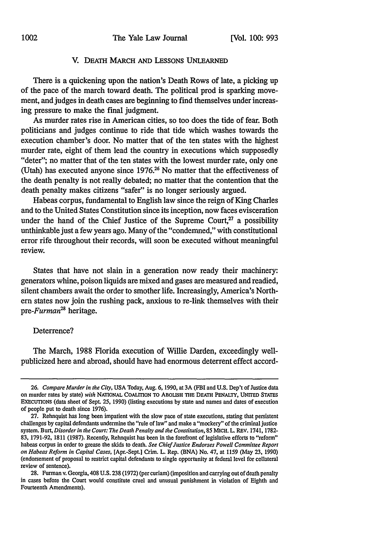#### V. DEATH MARCH AND LESSONS UNLEARNED

There is a quickening upon the nation's Death Rows of late, a picking up of the pace of the march toward death. The political prod is sparking movement, and judges in death cases are beginning to find themselves under increasing pressure to make the final judgment.

As murder rates rise in American cities, so too does the tide of fear. Both politicians and judges continue to ride that tide which washes towards the execution chamber's door. No matter that of the ten states with the highest murder rate, eight of them lead the country in executions which supposedly "deter"; no matter that of the ten states with the lowest murder rate, only one (Utah) has executed anyone since 1976.26 No matter that the effectiveness of the death penalty is not really debated; no matter that the contention that the death penalty makes citizens "safer" is no longer seriously argued.

Habeas corpus, fundamental to English law since the reign of King Charles and to the United States Constitution since its inception, now faces evisceration under the hand of the Chief Justice of the Supreme Court, $27$  a possibility unthinkable just a few years ago. Many of the "condemned," with constitutional error rife throughout their records, will soon be executed without meaningful review.

States that have not slain in a generation now ready their machinery: generators whine, poison liquids are mixed and gases are measured and readied, silent chambers await the order to smother life. Increasingly, America's Northern states now join the rushing pack, anxious to re-link themselves with their *pre-Furman28* heritage.

#### Deterrence?

The March, 1988 Florida execution of Willie Darden, exceedingly wellpublicized here and abroad, should have had enormous deterrent effect accord-

<sup>26.</sup> *Compare Murder in the City,* USA Today, Aug. 6, 1990, at 3A (FBI and U.S. Dep't of Justice data on murder rates **by** state) *with* NATIONAL COALITION TO ABOLISH THE DEATH PENALTY, UNITED STATES EXECUTIONS (data sheet of Sept. 25, **1990)** (listing executions **by** state and names and dates of execution of people put to death since 1976).

**<sup>27.</sup>** Rehnquist has long been impatient with the slow pace of state executions, stating that persistent challenges **by** capital defendants undermine the "rule of law" and make a "mockery" of the criminal justice system. Burt, *Disorder in the Court: The Death Penalty and the Constitution,* **85** MICH. **L.** REV. 1741, 1782- 83, 1791-92, 1811 **(1987).** Recently, Rehnquist has been in the forefront of legislative efforts to "reform" habeas corpus in order to grease the skids to death. *See Chief Justice Endorses Powell Committee Report on Habeas Reform in Capital Cases,* [Apr.-Sept.] Crim. L. Rep. **(BNA)** No. 47, at **1159** (May **23, 1990)** (endorsement of proposal to restrict capital defendants to single opportunity at federal level for collateral review of sentence).

**<sup>28.</sup>** Furman **v.** Georgia, 408 **U.S. 238 (1972)** (per curiam) (imposition and carrying out of death penalty in cases before the Court would constitute cruel and unusual punishment in violation of Eighth and Fourteenth Amendments).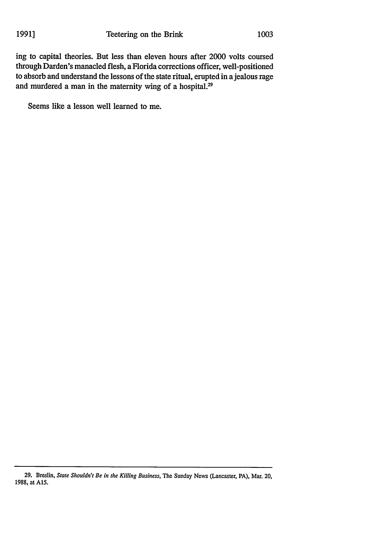ing to capital theories. But less than eleven hours after 2000 volts coursed through Darden's manacled flesh, a Florida corrections officer, well-positioned to absorb and understand the lessons of the state ritual, erupted in a jealous rage and murdered a man in the maternity wing of a hospital.<sup>29</sup>

Seems like a lesson well learned to me.

**<sup>29.</sup>** Breslin, *State Shouldn't Be in the Killing Business,* The Sunday News (Lancaster, PA), Mar. 20, 1988, at A15.